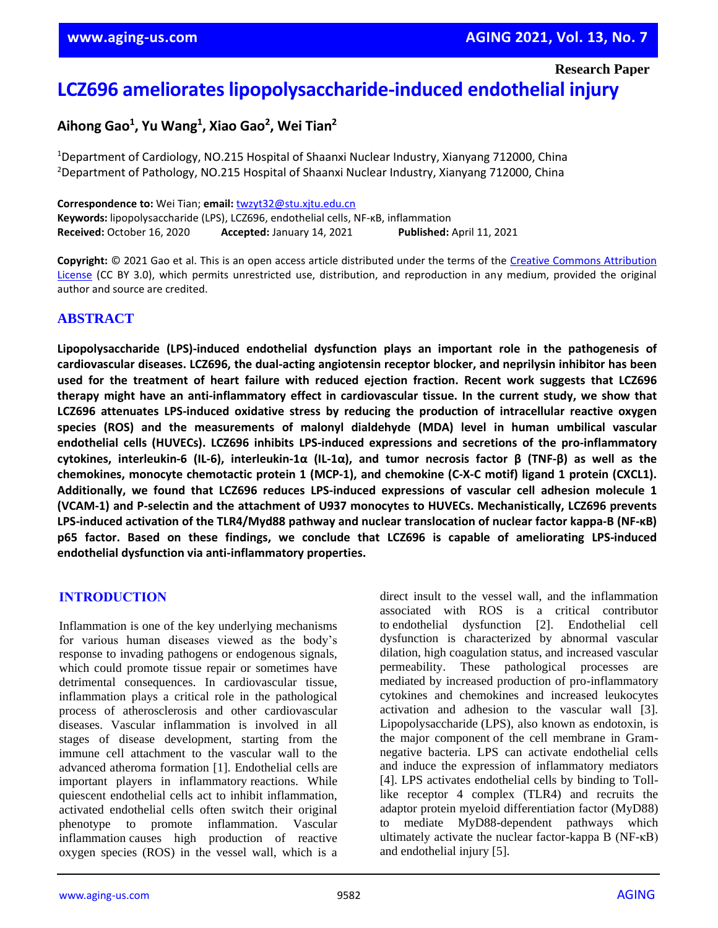**Research Paper**

# **LCZ696 ameliorates lipopolysaccharide-induced endothelial injury**

# **Aihong Gao<sup>1</sup> , Yu Wang<sup>1</sup> , Xiao Gao<sup>2</sup> , Wei Tian<sup>2</sup>**

<sup>1</sup>Department of Cardiology, NO.215 Hospital of Shaanxi Nuclear Industry, Xianyang 712000, China <sup>2</sup>Department of Pathology, NO.215 Hospital of Shaanxi Nuclear Industry, Xianyang 712000, China

**Correspondence to:** Wei Tian; **email:** [twzyt32@stu.xjtu.edu.cn](mailto:twzyt32@stu.xjtu.edu.cn) **Keywords:** lipopolysaccharide (LPS), LCZ696, endothelial cells, NF-κB, inflammation **Received:** October 16, 2020 **Accepted:** January 14, 2021 **Published:** April 11, 2021

**Copyright:** © 2021 Gao et al. This is an open access article distributed under the terms of the [Creative Commons Attribution](https://creativecommons.org/licenses/by/3.0/)  [License](https://creativecommons.org/licenses/by/3.0/) (CC BY 3.0), which permits unrestricted use, distribution, and reproduction in any medium, provided the original author and source are credited.

# **ABSTRACT**

**Lipopolysaccharide (LPS)-induced endothelial dysfunction plays an important role in the pathogenesis of cardiovascular diseases. LCZ696, the dual-acting angiotensin receptor blocker, and neprilysin inhibitor has been used for the treatment of heart failure with reduced ejection fraction. Recent work suggests that LCZ696 therapy might have an anti-inflammatory effect in cardiovascular tissue. In the current study, we show that LCZ696 attenuates LPS-induced oxidative stress by reducing the production of intracellular reactive oxygen species (ROS) and the measurements of malonyl dialdehyde (MDA) level in human umbilical vascular endothelial cells (HUVECs). LCZ696 inhibits LPS-induced expressions and secretions of the pro-inflammatory** cytokines, interleukin-6 (IL-6), interleukin-1 $\alpha$  (IL-1 $\alpha$ ), and tumor necrosis factor  $\beta$  (TNF- $\beta$ ) as well as the **chemokines, monocyte chemotactic protein 1 (MCP-1), and chemokine (C-X-C motif) ligand 1 protein (CXCL1). Additionally, we found that LCZ696 reduces LPS-induced expressions of vascular cell adhesion molecule 1 (VCAM-1) and P-selectin and the attachment of U937 monocytes to HUVECs. Mechanistically, LCZ696 prevents LPS-induced activation of the TLR4/Myd88 pathway and nuclear translocation of nuclear factor kappa-B (NF-κB) p65 factor. Based on these findings, we conclude that LCZ696 is capable of ameliorating LPS-induced endothelial dysfunction via anti-inflammatory properties.**

#### **INTRODUCTION**

Inflammation is one of the key underlying mechanisms for various human diseases viewed as the body's response to invading pathogens or endogenous signals, which could promote tissue repair or sometimes have detrimental consequences. In cardiovascular tissue, inflammation plays a critical role in the pathological process of atherosclerosis and other cardiovascular diseases. Vascular inflammation is involved in all stages of disease development, starting from the immune cell attachment to the vascular wall to the advanced atheroma formation [1]. Endothelial cells are important players in inflammatory reactions. While quiescent endothelial cells act to inhibit inflammation, activated endothelial cells often switch their original phenotype to promote inflammation. Vascular inflammation causes high production of reactive oxygen species (ROS) in the vessel wall, which is a direct insult to the vessel wall, and the inflammation associated with ROS is a critical contributor to endothelial dysfunction [2]. Endothelial cell dysfunction is characterized by abnormal vascular dilation, high coagulation status, and increased vascular permeability. These pathological processes are mediated by increased production of pro-inflammatory cytokines and chemokines and increased leukocytes activation and adhesion to the vascular wall [3]. Lipopolysaccharide (LPS), also known as endotoxin, is the major component of the cell membrane in Gramnegative bacteria. LPS can activate endothelial cells and induce the expression of inflammatory mediators [4]. LPS activates endothelial cells by binding to Tolllike receptor 4 complex (TLR4) and recruits the adaptor protein myeloid differentiation factor (MyD88) to mediate MyD88-dependent pathways which ultimately activate the nuclear factor-kappa B (NF-κB) and endothelial injury [5].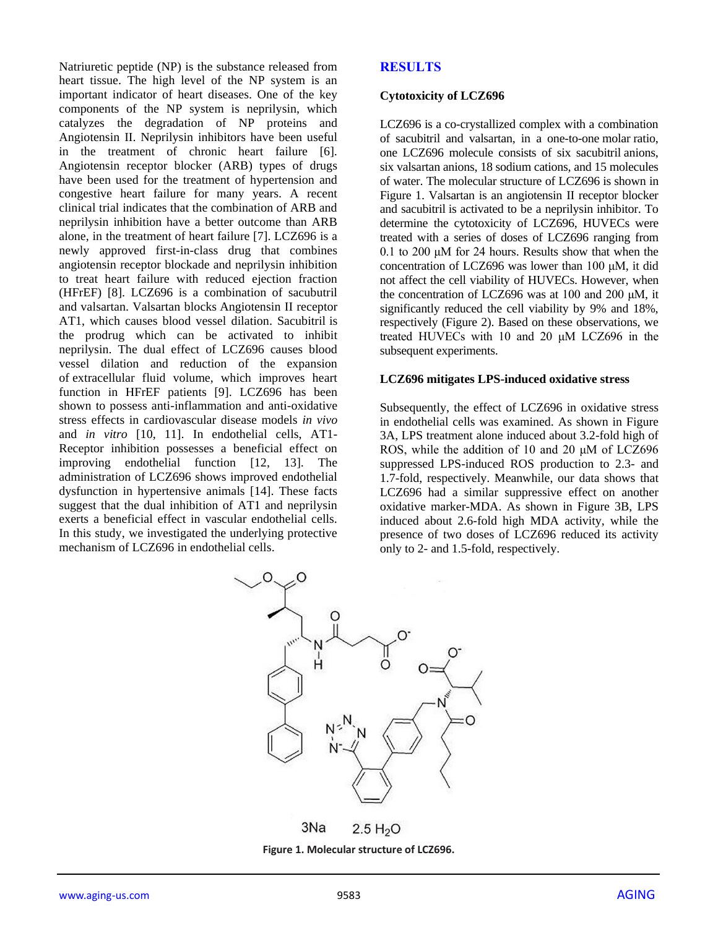Natriuretic peptide (NP) is the substance released from heart tissue. The high level of the NP system is an important indicator of heart diseases. One of the key components of the NP system is neprilysin, which catalyzes the degradation of NP proteins and Angiotensin II. Neprilysin inhibitors have been useful in the treatment of chronic heart failure [6]. Angiotensin receptor blocker (ARB) types of drugs have been used for the treatment of hypertension and congestive heart failure for many years. A recent clinical trial indicates that the combination of ARB and neprilysin inhibition have a better outcome than ARB alone, in the treatment of heart failure [7]. LCZ696 is a newly approved first-in-class drug that combines angiotensin receptor blockade and neprilysin inhibition to treat heart failure with reduced ejection fraction (HFrEF) [8]. LCZ696 is a combination of sacubutril and valsartan. Valsartan blocks Angiotensin II receptor AT1, which causes blood vessel dilation. Sacubitril is the prodrug which can be activated to inhibit neprilysin. The dual effect of LCZ696 causes blood vessel dilation and reduction of the expansion of extracellular fluid volume, which improves heart function in HFrEF patients [9]. LCZ696 has been shown to possess anti-inflammation and anti-oxidative stress effects in cardiovascular disease models *in vivo* and *in vitro* [10, 11]. In endothelial cells, AT1- Receptor inhibition possesses a beneficial effect on improving endothelial function [12, 13]. The administration of LCZ696 shows improved endothelial dysfunction in hypertensive animals [14]. These facts suggest that the dual inhibition of AT1 and neprilysin exerts a beneficial effect in vascular endothelial cells. In this study, we investigated the underlying protective mechanism of LCZ696 in endothelial cells.

# **RESULTS**

#### **Cytotoxicity of LCZ696**

LCZ696 is a co-crystallized complex with a combination of sacubitril and valsartan, in a one-to-one molar ratio, one LCZ696 molecule consists of six sacubitril anions, six valsartan anions, 18 sodium cations, and 15 molecules of water. The molecular structure of LCZ696 is shown in Figure 1. Valsartan is an angiotensin II receptor blocker and sacubitril is activated to be a neprilysin inhibitor. To determine the cytotoxicity of LCZ696, HUVECs were treated with a series of doses of LCZ696 ranging from 0.1 to 200 μM for 24 hours. Results show that when the concentration of LCZ696 was lower than 100 μM, it did not affect the cell viability of HUVECs. However, when the concentration of LCZ696 was at 100 and 200 μM, it significantly reduced the cell viability by 9% and 18%, respectively (Figure 2). Based on these observations, we treated HUVECs with 10 and 20 μM LCZ696 in the subsequent experiments.

#### **LCZ696 mitigates LPS-induced oxidative stress**

Subsequently, the effect of LCZ696 in oxidative stress in endothelial cells was examined. As shown in Figure 3A, LPS treatment alone induced about 3.2-fold high of ROS, while the addition of 10 and 20 μM of LCZ696 suppressed LPS-induced ROS production to 2.3- and 1.7-fold, respectively. Meanwhile, our data shows that LCZ696 had a similar suppressive effect on another oxidative marker-MDA. As shown in Figure 3B, LPS induced about 2.6-fold high MDA activity, while the presence of two doses of LCZ696 reduced its activity only to 2- and 1.5-fold, respectively.



**Figure 1. Molecular structure of LCZ696.**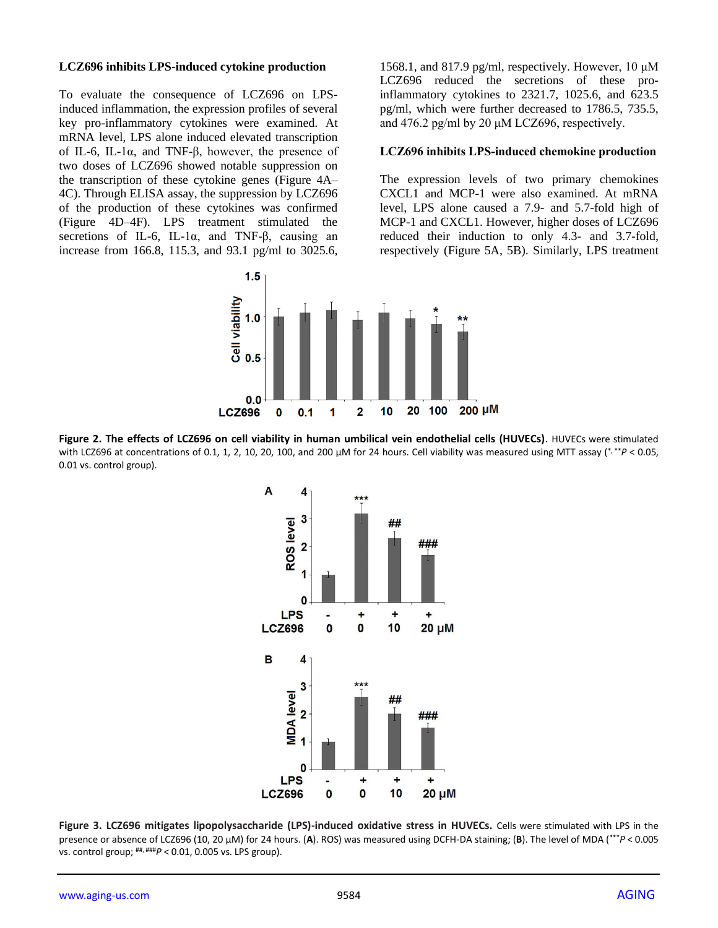#### **LCZ696 inhibits LPS-induced cytokine production**

To evaluate the consequence of LCZ696 on LPSinduced inflammation, the expression profiles of several key pro-inflammatory cytokines were examined. At mRNA level, LPS alone induced elevated transcription of IL-6, IL-1α, and TNF-β, however, the presence of two doses of LCZ696 showed notable suppression on the transcription of these cytokine genes (Figure 4A– 4C). Through ELISA assay, the suppression by LCZ696 of the production of these cytokines was confirmed (Figure 4D–4F). LPS treatment stimulated the secretions of IL-6, IL-1α, and TNF-β, causing an increase from 166.8, 115.3, and 93.1 pg/ml to 3025.6,

1568.1, and 817.9 pg/ml, respectively. However, 10 μM LCZ696 reduced the secretions of these proinflammatory cytokines to 2321.7, 1025.6, and 623.5 pg/ml, which were further decreased to 1786.5, 735.5, and 476.2 pg/ml by 20  $\mu$ M LCZ696, respectively.

#### **LCZ696 inhibits LPS-induced chemokine production**

The expression levels of two primary chemokines CXCL1 and MCP-1 were also examined. At mRNA level, LPS alone caused a 7.9- and 5.7-fold high of MCP-1 and CXCL1. However, higher doses of LCZ696 reduced their induction to only 4.3- and 3.7-fold, respectively (Figure 5A, 5B). Similarly, LPS treatment



**Figure 2. The effects of LCZ696 on cell viability in human umbilical vein endothelial cells (HUVECs)**. HUVECs were stimulated with LCZ696 at concentrations of 0.1, 1, 2, 10, 20, 100, and 200 μM for 24 hours. Cell viability was measured using MTT assay (\*,\*\*P < 0.05, 0.01 vs. control group).



**Figure 3. LCZ696 mitigates lipopolysaccharide (LPS)-induced oxidative stress in HUVECs.** Cells were stimulated with LPS in the presence or absence of LCZ696 (10, 20 μM) for 24 hours. (**A**). ROS) was measured using DCFH-DA staining; (**B**). The level of MDA (\*\*\**P* < 0.005 vs. control group; ##, ###*P* < 0.01, 0.005 vs. LPS group).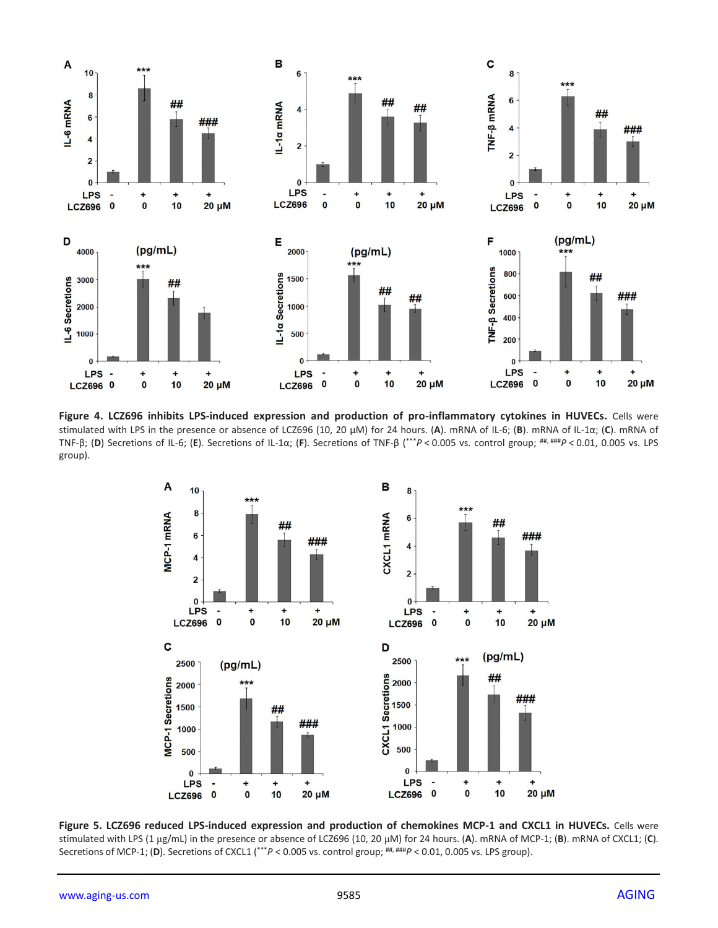

Figure 4. LCZ696 inhibits LPS-induced expression and production of pro-inflammatory cytokines in HUVECs. Cells were stimulated with LPS in the presence or absence of LCZ696 (10, 20 μM) for 24 hours. (**A**). mRNA of IL-6; (**B**). mRNA of IL-1α; (**C**). mRNA of TNF-β; (**D**) Secretions of IL-6; (**E**). Secretions of IL-1α; (**F**). Secretions of TNF-β (\*\*\**P* < 0.005 vs. control group; ##, ###*P* < 0.01, 0.005 vs. LPS group).



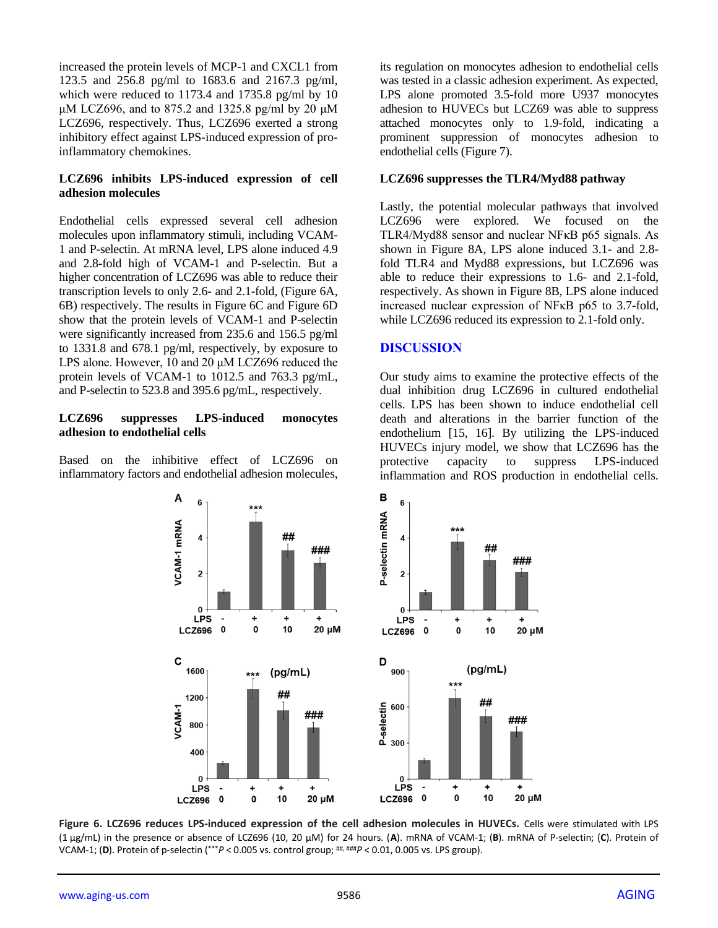increased the protein levels of MCP-1 and CXCL1 from 123.5 and 256.8 pg/ml to 1683.6 and 2167.3 pg/ml, which were reduced to 1173.4 and 1735.8 pg/ml by 10 μM LCZ696, and to 875.2 and 1325.8 pg/ml by 20 μM LCZ696, respectively. Thus, LCZ696 exerted a strong inhibitory effect against LPS-induced expression of proinflammatory chemokines.

#### **LCZ696 inhibits LPS-induced expression of cell adhesion molecules**

Endothelial cells expressed several cell adhesion molecules upon inflammatory stimuli, including VCAM-1 and P-selectin. At mRNA level, LPS alone induced 4.9 and 2.8-fold high of VCAM-1 and P-selectin. But a higher concentration of LCZ696 was able to reduce their transcription levels to only 2.6- and 2.1-fold, (Figure 6A, 6B) respectively. The results in Figure 6C and Figure 6D show that the protein levels of VCAM-1 and P-selectin were significantly increased from 235.6 and 156.5 pg/ml to 1331.8 and 678.1 pg/ml, respectively, by exposure to LPS alone. However, 10 and 20 μM LCZ696 reduced the protein levels of VCAM-1 to 1012.5 and 763.3 pg/mL, and P-selectin to 523.8 and 395.6 pg/mL, respectively.

#### **LCZ696 suppresses LPS-induced monocytes adhesion to endothelial cells**

Based on the inhibitive effect of LCZ696 on inflammatory factors and endothelial adhesion molecules, its regulation on monocytes adhesion to endothelial cells was tested in a classic adhesion experiment. As expected, LPS alone promoted 3.5-fold more U937 monocytes adhesion to HUVECs but LCZ69 was able to suppress attached monocytes only to 1.9-fold, indicating a prominent suppression of monocytes adhesion to endothelial cells (Figure 7).

#### **LCZ696 suppresses the TLR4/Myd88 pathway**

Lastly, the potential molecular pathways that involved LCZ696 were explored. We focused on the TLR4/Myd88 sensor and nuclear NFκB p65 signals. As shown in Figure 8A, LPS alone induced 3.1- and 2.8 fold TLR4 and Myd88 expressions, but LCZ696 was able to reduce their expressions to 1.6- and 2.1-fold, respectively. As shown in Figure 8B, LPS alone induced increased nuclear expression of NFκB p65 to 3.7-fold, while LCZ696 reduced its expression to 2.1-fold only.

## **DISCUSSION**

Our study aims to examine the protective effects of the dual inhibition drug LCZ696 in cultured endothelial cells. LPS has been shown to induce endothelial cell death and alterations in the barrier function of the endothelium [15, 16]. By utilizing the LPS-induced HUVECs injury model, we show that LCZ696 has the protective capacity to suppress LPS-induced inflammation and ROS production in endothelial cells.



**Figure 6. LCZ696 reduces LPS-induced expression of the cell adhesion molecules in HUVECs.** Cells were stimulated with LPS (1 μg/mL) in the presence or absence of LCZ696 (10, 20 μM) for 24 hours. (**A**). mRNA of VCAM-1; (**B**). mRNA of P-selectin; (**C**). Protein of VCAM-1; (**D**). Protein of p-selectin (\*\*\**P* < 0.005 vs. control group; ##, ###*P* < 0.01, 0.005 vs. LPS group).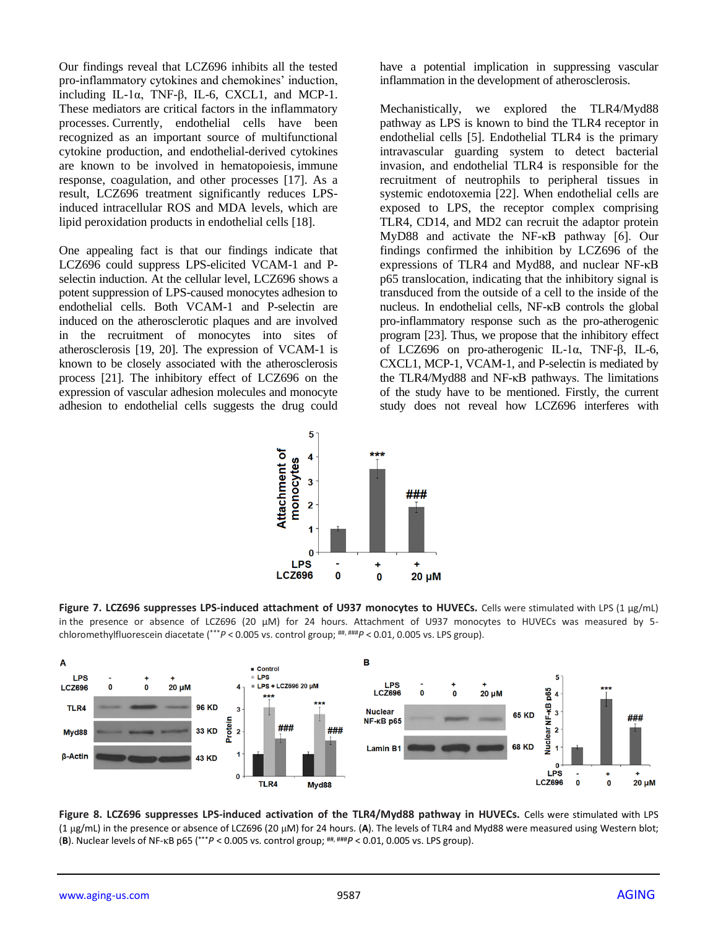Our findings reveal that LCZ696 inhibits all the tested pro-inflammatory cytokines and chemokines' induction, including IL-1α, TNF-β, IL-6, CXCL1, and MCP-1. These mediators are critical factors in the inflammatory processes. Currently, endothelial cells have been recognized as an important source of multifunctional cytokine production, and endothelial-derived cytokines are known to be involved in hematopoiesis, immune response, coagulation, and other processes [17]. As a result, LCZ696 treatment significantly reduces LPSinduced intracellular ROS and MDA levels, which are lipid peroxidation products in endothelial cells [18].

One appealing fact is that our findings indicate that LCZ696 could suppress LPS-elicited VCAM-1 and Pselectin induction. At the cellular level, LCZ696 shows a potent suppression of LPS-caused monocytes adhesion to endothelial cells. Both VCAM-1 and P-selectin are induced on the atherosclerotic plaques and are involved in the recruitment of monocytes into sites of atherosclerosis [19, 20]. The expression of VCAM-1 is known to be closely associated with the atherosclerosis process [21]. The inhibitory effect of LCZ696 on the expression of vascular adhesion molecules and monocyte adhesion to endothelial cells suggests the drug could have a potential implication in suppressing vascular inflammation in the development of atherosclerosis.

Mechanistically, we explored the TLR4/Myd88 pathway as LPS is known to bind the TLR4 receptor in endothelial cells [5]. Endothelial TLR4 is the primary intravascular guarding system to detect bacterial invasion, and endothelial TLR4 is responsible for the recruitment of neutrophils to peripheral tissues in systemic endotoxemia [22]. When endothelial cells are exposed to LPS, the receptor complex comprising TLR4, CD14, and MD2 can recruit the adaptor protein MyD88 and activate the NF-κB pathway [6]. Our findings confirmed the inhibition by LCZ696 of the expressions of TLR4 and Myd88, and nuclear NF-κB p65 translocation, indicating that the inhibitory signal is transduced from the outside of a cell to the inside of the nucleus. In endothelial cells, NF-κB controls the global pro-inflammatory response such as the pro-atherogenic program [23]. Thus, we propose that the inhibitory effect of LCZ696 on pro-atherogenic IL-1α, TNF-β, IL-6, CXCL1, MCP-1, VCAM-1, and P-selectin is mediated by the TLR4/Myd88 and NF-κB pathways. The limitations of the study have to be mentioned. Firstly, the current study does not reveal how LCZ696 interferes with



**Figure 7. LCZ696 suppresses LPS-induced attachment of U937 monocytes to HUVECs.** Cells were stimulated with LPS (1 μg/mL) in the presence or absence of LCZ696 (20 μM) for 24 hours. Attachment of U937 monocytes to HUVECs was measured by 5 chloromethylfluorescein diacetate (\*\*\**P* < 0.005 vs. control group; ##, ###*P* < 0.01, 0.005 vs. LPS group).



**Figure 8. LCZ696 suppresses LPS-induced activation of the TLR4/Myd88 pathway in HUVECs.** Cells were stimulated with LPS (1 μg/mL) in the presence or absence of LCZ696 (20 μM) for 24 hours. (**A**). The levels of TLR4 and Myd88 were measured using Western blot; (**B**). Nuclear levels of NF-κB p65 ( \*\*\**P* < 0.005 vs. control group; ##, ###*P* < 0.01, 0.005 vs. LPS group).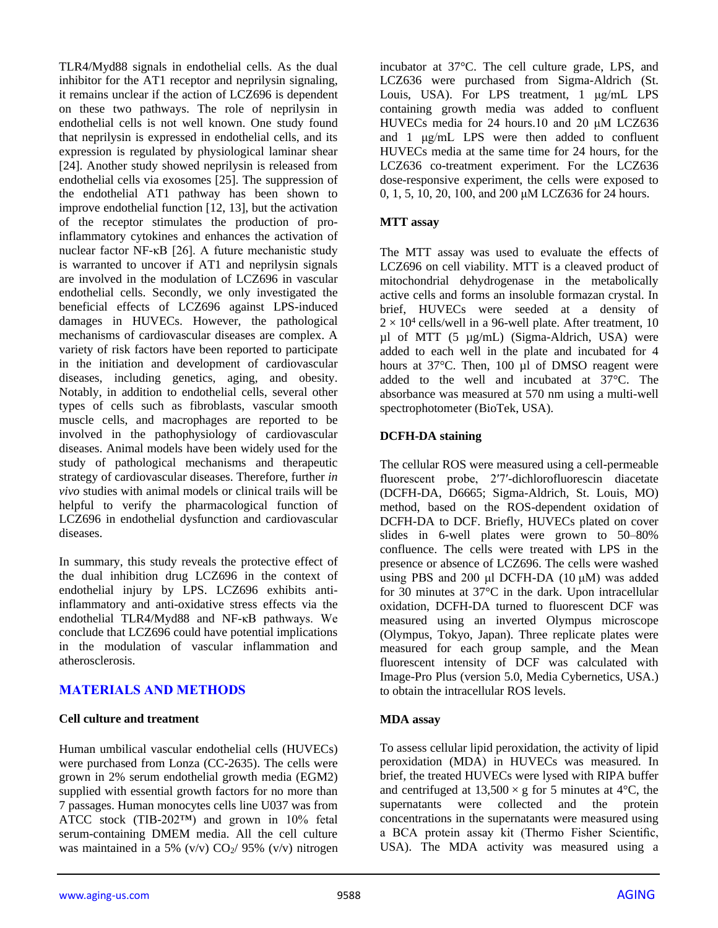TLR4/Myd88 signals in endothelial cells. As the dual inhibitor for the AT1 receptor and neprilysin signaling, it remains unclear if the action of LCZ696 is dependent on these two pathways. The role of neprilysin in endothelial cells is not well known. One study found that neprilysin is expressed in endothelial cells, and its expression is regulated by physiological laminar shear [24]. Another study showed neprilysin is released from endothelial cells via exosomes [25]. The suppression of the endothelial AT1 pathway has been shown to improve endothelial function [12, 13], but the activation of the receptor stimulates the production of proinflammatory cytokines and enhances the activation of nuclear factor NF-κB [26]. A future mechanistic study is warranted to uncover if AT1 and neprilysin signals are involved in the modulation of LCZ696 in vascular endothelial cells. Secondly, we only investigated the beneficial effects of LCZ696 against LPS-induced damages in HUVECs. However, the pathological mechanisms of cardiovascular diseases are complex. A variety of risk factors have been reported to participate in the initiation and development of cardiovascular diseases, including genetics, aging, and obesity. Notably, in addition to endothelial cells, several other types of cells such as fibroblasts, vascular smooth muscle cells, and macrophages are reported to be involved in the pathophysiology of cardiovascular diseases. Animal models have been widely used for the study of pathological mechanisms and therapeutic strategy of cardiovascular diseases. Therefore, further *in vivo* studies with animal models or clinical trails will be helpful to verify the pharmacological function of LCZ696 in endothelial dysfunction and cardiovascular diseases.

In summary, this study reveals the protective effect of the dual inhibition drug LCZ696 in the context of endothelial injury by LPS. LCZ696 exhibits antiinflammatory and anti-oxidative stress effects via the endothelial TLR4/Myd88 and NF-κB pathways. We conclude that LCZ696 could have potential implications in the modulation of vascular inflammation and atherosclerosis.

# **MATERIALS AND METHODS**

#### **Cell culture and treatment**

Human umbilical vascular endothelial cells (HUVECs) were purchased from Lonza (CC-2635). The cells were grown in 2% serum endothelial growth media (EGM2) supplied with essential growth factors for no more than 7 passages. Human monocytes cells line U037 was from ATCC stock (TIB-202™) and grown in 10% fetal serum-containing DMEM media. All the cell culture was maintained in a 5%  $(v/v)$  CO<sub>2</sub>/ 95%  $(v/v)$  nitrogen

incubator at 37°C. The cell culture grade, LPS, and LCZ636 were purchased from Sigma-Aldrich (St. Louis, USA). For LPS treatment, 1 μg/mL LPS containing growth media was added to confluent HUVECs media for 24 hours.10 and 20 μM LCZ636 and 1 μg/mL LPS were then added to confluent HUVECs media at the same time for 24 hours, for the LCZ636 co-treatment experiment. For the LCZ636 dose-responsive experiment, the cells were exposed to 0, 1, 5, 10, 20, 100, and 200 μM LCZ636 for 24 hours.

#### **MTT assay**

The MTT assay was used to evaluate the effects of LCZ696 on cell viability. MTT is a cleaved product of mitochondrial dehydrogenase in the metabolically active cells and forms an insoluble formazan crystal. In brief, HUVECs were seeded at a density of  $2 \times 10^4$  cells/well in a 96-well plate. After treatment, 10 µl of MTT (5 µg/mL) (Sigma-Aldrich, USA) were added to each well in the plate and incubated for 4 hours at 37°C. Then, 100 µl of DMSO reagent were added to the well and incubated at 37°C. The absorbance was measured at 570 nm using a multi-well spectrophotometer (BioTek, USA).

#### **DCFH-DA staining**

The cellular ROS were measured using a cell-permeable fluorescent probe, 2′7′-dichlorofluorescin diacetate (DCFH-DA, D6665; Sigma-Aldrich, St. Louis, MO) method, based on the ROS-dependent oxidation of DCFH-DA to DCF. Briefly, HUVECs plated on cover slides in 6-well plates were grown to 50–80% confluence. The cells were treated with LPS in the presence or absence of LCZ696. The cells were washed using PBS and 200  $\mu$ l DCFH-DA (10  $\mu$ M) was added for 30 minutes at 37°C in the dark. Upon intracellular oxidation, DCFH-DA turned to fluorescent DCF was measured using an inverted Olympus microscope (Olympus, Tokyo, Japan). Three replicate plates were measured for each group sample, and the Mean fluorescent intensity of DCF was calculated with Image-Pro Plus (version 5.0, Media Cybernetics, USA.) to obtain the intracellular ROS levels.

#### **MDA assay**

To assess cellular lipid peroxidation, the activity of lipid peroxidation (MDA) in HUVECs was measured. In brief, the treated HUVECs were lysed with RIPA buffer and centrifuged at  $13,500 \times g$  for 5 minutes at 4°C, the supernatants were collected and the protein concentrations in the supernatants were measured using a BCA protein assay kit (Thermo Fisher Scientific, USA). The MDA activity was measured using a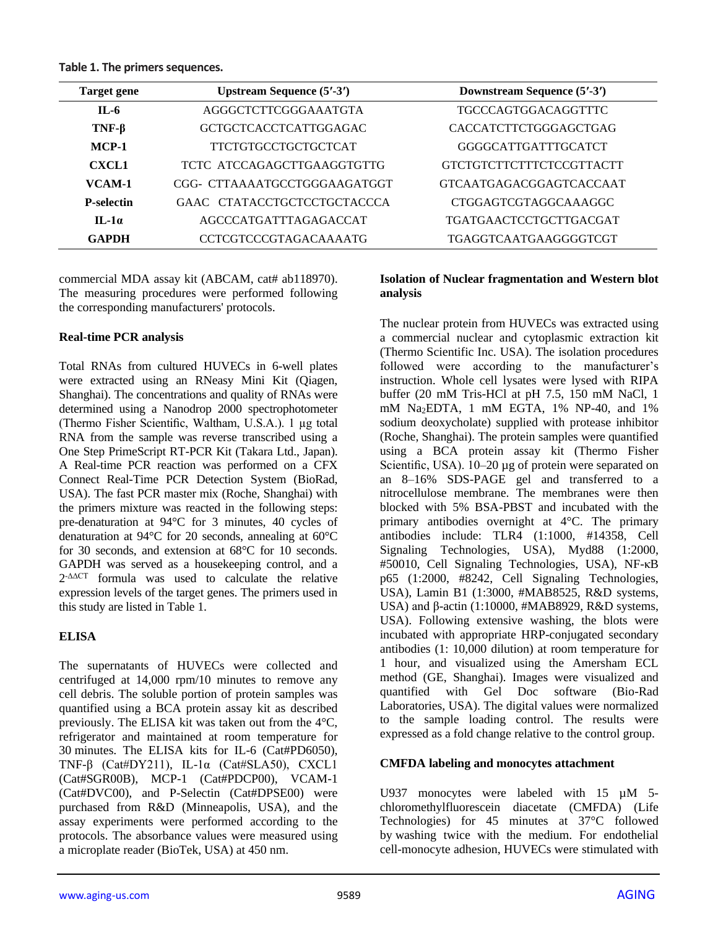**Table 1. The primers sequences.**

| Target gene       | <b>Upstream Sequence (5'-3')</b> | Downstream Sequence (5'-3')     |
|-------------------|----------------------------------|---------------------------------|
| $II - 6$          | AGGGCTCTTCGGGAAATGTA             | <b>TGCCCAGTGGACAGGTTTC</b>      |
| $TNF-\beta$       | <b>GCTGCTCACCTCATTGGAGAC</b>     | CACCATCTTCTGGGAGCTGAG           |
| $MCP-1$           | <b>TTCTGTGCCTGCTGCTCAT</b>       | GGGGCATTGATTTGCATCT             |
| <b>CXCL1</b>      | TCTC ATCCAGAGCTTGAAGGTGTTG       | <b>GTCTGTCTTCTTTCTCCGTTACTT</b> |
| VCAM-1            | CGG- CTTAAAATGCCTGGGAAGATGGT     | <b>GTCAATGAGACGGAGTCACCAAT</b>  |
| <b>P-selectin</b> | GAAC CTATACCTGCTCCTGCTACCCA      | <b>CTGGAGTCGTAGGCAAAGGC</b>     |
| $II - 1\alpha$    | AGCCCATGATTTAGAGACCAT            | <b>TGATGAACTCCTGCTTGACGAT</b>   |
| <b>GAPDH</b>      | <b>CCTCGTCCCGTAGACAAAATG</b>     | TGAGGTCAATGAAGGGGTCGT           |

commercial MDA assay kit (ABCAM, cat# ab118970). The measuring procedures were performed following the corresponding manufacturers' protocols.

## **Real-time PCR analysis**

Total RNAs from cultured HUVECs in 6-well plates were extracted using an RNeasy Mini Kit (Qiagen, Shanghai). The concentrations and quality of RNAs were determined using a Nanodrop 2000 spectrophotometer (Thermo Fisher Scientific, Waltham, U.S.A.). 1 µg total RNA from the sample was reverse transcribed using a One Step PrimeScript RT-PCR Kit (Takara Ltd., Japan). A Real-time PCR reaction was performed on a CFX Connect Real-Time PCR Detection System (BioRad, USA). The fast PCR master mix (Roche, Shanghai) with the primers mixture was reacted in the following steps: pre-denaturation at 94°C for 3 minutes, 40 cycles of denaturation at 94°C for 20 seconds, annealing at 60°C for 30 seconds, and extension at 68°C for 10 seconds. GAPDH was served as a housekeeping control, and a 2 -ΔΔCT formula was used to calculate the relative expression levels of the target genes. The primers used in this study are listed in Table 1.

# **ELISA**

The supernatants of HUVECs were collected and centrifuged at 14,000 rpm/10 minutes to remove any cell debris. The soluble portion of protein samples was quantified using a BCA protein assay kit as described previously. The ELISA kit was taken out from the 4°C, refrigerator and maintained at room temperature for 30 minutes. The ELISA kits for IL-6 (Cat#PD6050), TNF-β (Cat#DY211), IL-1α (Cat#SLA50), CXCL1 (Cat#SGR00B), MCP-1 (Cat#PDCP00), VCAM-1 (Cat#DVC00), and P-Selectin (Cat#DPSE00) were purchased from R&D (Minneapolis, USA), and the assay experiments were performed according to the protocols. The absorbance values were measured using a microplate reader (BioTek, USA) at 450 nm.

#### **Isolation of Nuclear fragmentation and Western blot analysis**

The nuclear protein from HUVECs was extracted using a commercial nuclear and cytoplasmic extraction kit (Thermo Scientific Inc. USA). The isolation procedures followed were according to the manufacturer's instruction. Whole cell lysates were lysed with RIPA buffer (20 mM Tris-HCl at pH 7.5, 150 mM NaCl, 1 mM Na<sub>2</sub>EDTA, 1 mM EGTA,  $1\%$  NP-40, and  $1\%$ sodium deoxycholate) supplied with protease inhibitor (Roche, Shanghai). The protein samples were quantified using a BCA protein assay kit (Thermo Fisher Scientific, USA). 10–20 µg of protein were separated on an 8–16% SDS-PAGE gel and transferred to a nitrocellulose membrane. The membranes were then blocked with 5% BSA-PBST and incubated with the primary antibodies overnight at 4°C. The primary antibodies include: TLR4 (1:1000, #14358, Cell Signaling Technologies, USA), Myd88 (1:2000, #50010, Cell Signaling Technologies, USA), NF-κB p65 (1:2000, #8242, Cell Signaling Technologies, USA), Lamin B1 (1:3000, #MAB8525, R&D systems, USA) and β-actin (1:10000, #MAB8929, R&D systems, USA). Following extensive washing, the blots were incubated with appropriate HRP-conjugated secondary antibodies (1: 10,000 dilution) at room temperature for 1 hour, and visualized using the Amersham ECL method (GE, Shanghai). Images were visualized and quantified with Gel Doc software (Bio-Rad Laboratories, USA). The digital values were normalized to the sample loading control. The results were expressed as a fold change relative to the control group.

# **CMFDA labeling and monocytes attachment**

U937 monocytes were labeled with 15  $\mu$ M 5chloromethylfluorescein diacetate (CMFDA) (Life Technologies) for 45 minutes at 37°C followed by washing twice with the medium. For endothelial cell-monocyte adhesion, HUVECs were stimulated with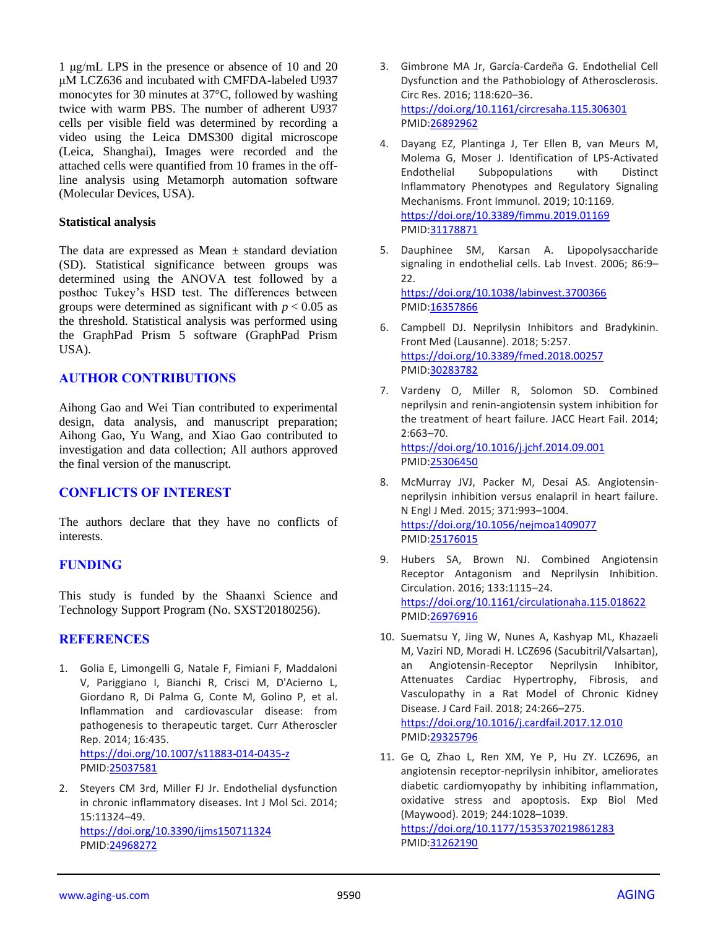1 μg/mL LPS in the presence or absence of 10 and 20 μM LCZ636 and incubated with CMFDA-labeled U937 monocytes for 30 minutes at 37°C, followed by washing twice with warm PBS. The number of adherent U937 cells per visible field was determined by recording a video using the Leica DMS300 digital microscope (Leica, Shanghai), Images were recorded and the attached cells were quantified from 10 frames in the offline analysis using Metamorph automation software (Molecular Devices, USA).

#### **Statistical analysis**

The data are expressed as Mean  $\pm$  standard deviation (SD). Statistical significance between groups was determined using the ANOVA test followed by a posthoc Tukey's HSD test. The differences between groups were determined as significant with  $p < 0.05$  as the threshold. Statistical analysis was performed using the GraphPad Prism 5 software (GraphPad Prism USA).

# **AUTHOR CONTRIBUTIONS**

Aihong Gao and Wei Tian contributed to experimental design, data analysis, and manuscript preparation; Aihong Gao, Yu Wang, and Xiao Gao contributed to investigation and data collection; All authors approved the final version of the manuscript.

# **CONFLICTS OF INTEREST**

The authors declare that they have no conflicts of interests.

# **FUNDING**

This study is funded by the Shaanxi Science and Technology Support Program (No. SXST20180256).

#### **REFERENCES**

- 1. Golia E, Limongelli G, Natale F, Fimiani F, Maddaloni V, Pariggiano I, Bianchi R, Crisci M, D'Acierno L, Giordano R, Di Palma G, Conte M, Golino P, et al. Inflammation and cardiovascular disease: from pathogenesis to therapeutic target. Curr Atheroscler Rep. 2014; 16:435. <https://doi.org/10.1007/s11883-014-0435-z> PMID[:25037581](https://pubmed.ncbi.nlm.nih.gov/25037581)
- 2. Steyers CM 3rd, Miller FJ Jr. Endothelial dysfunction in chronic inflammatory diseases. Int J Mol Sci. 2014; 15:11324–49. <https://doi.org/10.3390/ijms150711324> PMID[:24968272](https://pubmed.ncbi.nlm.nih.gov/24968272)
- 3. Gimbrone MA Jr, García-Cardeña G. Endothelial Cell Dysfunction and the Pathobiology of Atherosclerosis. Circ Res. 2016; 118:620–36. <https://doi.org/10.1161/circresaha.115.306301> PMID[:26892962](https://pubmed.ncbi.nlm.nih.gov/26892962)
- 4. Dayang EZ, Plantinga J, Ter Ellen B, van Meurs M, Molema G, Moser J. Identification of LPS-Activated Endothelial Subpopulations with Distinct Inflammatory Phenotypes and Regulatory Signaling Mechanisms. Front Immunol. 2019; 10:1169. <https://doi.org/10.3389/fimmu.2019.01169> PMID[:31178871](https://pubmed.ncbi.nlm.nih.gov/31178871)
- 5. Dauphinee SM, Karsan A. Lipopolysaccharide signaling in endothelial cells. Lab Invest. 2006; 86:9– 22. <https://doi.org/10.1038/labinvest.3700366> PMID[:16357866](https://pubmed.ncbi.nlm.nih.gov/16357866)
- 6. Campbell DJ. Neprilysin Inhibitors and Bradykinin. Front Med (Lausanne). 2018; 5:257. <https://doi.org/10.3389/fmed.2018.00257> PMID[:30283782](https://pubmed.ncbi.nlm.nih.gov/30283782)
- 7. Vardeny O, Miller R, Solomon SD. Combined neprilysin and renin-angiotensin system inhibition for the treatment of heart failure. JACC Heart Fail. 2014; 2:663–70. <https://doi.org/10.1016/j.jchf.2014.09.001> PMID[:25306450](https://pubmed.ncbi.nlm.nih.gov/25306450)
- 8. McMurray JVJ, Packer M, Desai AS. Angiotensinneprilysin inhibition versus enalapril in heart failure. N Engl J Med. 2015; 371:993–1004. <https://doi.org/10.1056/nejmoa1409077> PMID[:25176015](https://pubmed.ncbi.nlm.nih.gov/25176015)
- 9. Hubers SA, Brown NJ. Combined Angiotensin Receptor Antagonism and Neprilysin Inhibition. Circulation. 2016; 133:1115–24. <https://doi.org/10.1161/circulationaha.115.018622> PMID[:26976916](https://pubmed.ncbi.nlm.nih.gov/26976916)
- 10. Suematsu Y, Jing W, Nunes A, Kashyap ML, Khazaeli M, Vaziri ND, Moradi H. LCZ696 (Sacubitril/Valsartan), an Angiotensin-Receptor Neprilysin Inhibitor, Attenuates Cardiac Hypertrophy, Fibrosis, and Vasculopathy in a Rat Model of Chronic Kidney Disease. J Card Fail. 2018; 24:266–275. <https://doi.org/10.1016/j.cardfail.2017.12.010> PMID[:29325796](https://pubmed.ncbi.nlm.nih.gov/29325796)
- 11. Ge Q, Zhao L, Ren XM, Ye P, Hu ZY. LCZ696, an angiotensin receptor-neprilysin inhibitor, ameliorates diabetic cardiomyopathy by inhibiting inflammation, oxidative stress and apoptosis. Exp Biol Med (Maywood). 2019; 244:1028–1039. <https://doi.org/10.1177/1535370219861283> PMID[:31262190](https://pubmed.ncbi.nlm.nih.gov/31262190)